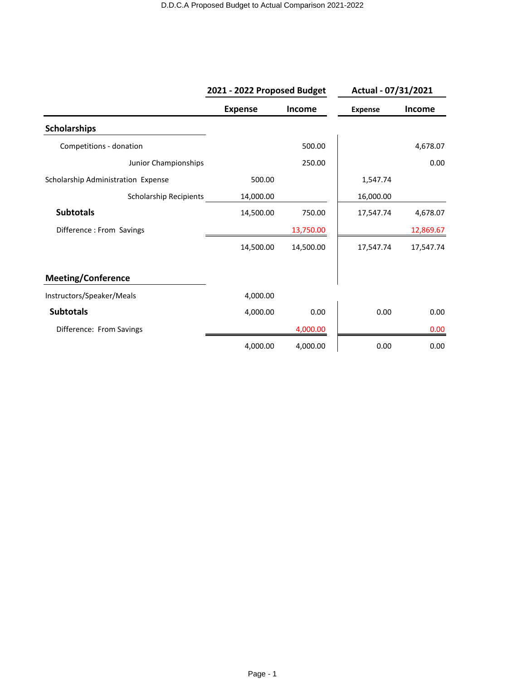|                                    | 2021 - 2022 Proposed Budget |               | Actual - 07/31/2021 |           |
|------------------------------------|-----------------------------|---------------|---------------------|-----------|
|                                    | <b>Expense</b>              | <b>Income</b> | <b>Expense</b>      | Income    |
| <b>Scholarships</b>                |                             |               |                     |           |
| Competitions - donation            |                             | 500.00        |                     | 4,678.07  |
| Junior Championships               |                             | 250.00        |                     | 0.00      |
| Scholarship Administration Expense | 500.00                      |               | 1,547.74            |           |
| <b>Scholarship Recipients</b>      | 14,000.00                   |               | 16,000.00           |           |
| <b>Subtotals</b>                   | 14,500.00                   | 750.00        | 17,547.74           | 4,678.07  |
| Difference : From Savings          |                             | 13,750.00     |                     | 12,869.67 |
|                                    | 14,500.00                   | 14,500.00     | 17,547.74           | 17,547.74 |
| <b>Meeting/Conference</b>          |                             |               |                     |           |
| Instructors/Speaker/Meals          | 4,000.00                    |               |                     |           |
| <b>Subtotals</b>                   | 4,000.00                    | 0.00          | 0.00                | 0.00      |
| Difference: From Savings           |                             | 4,000.00      |                     | 0.00      |
|                                    | 4,000.00                    | 4,000.00      | 0.00                | 0.00      |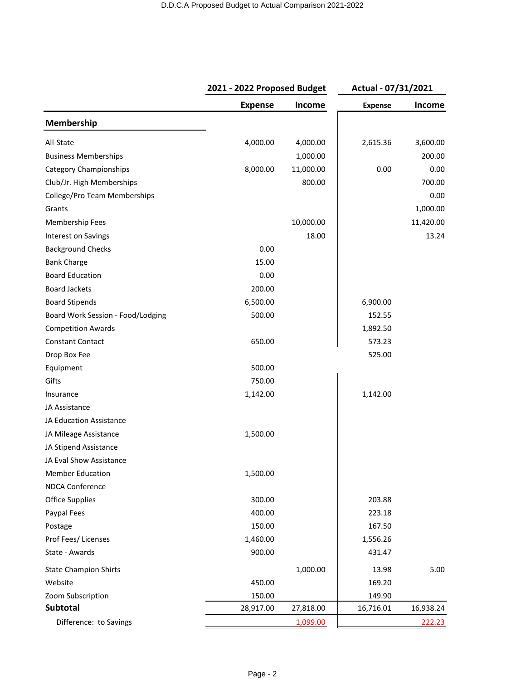|                                   |                | 2021 - 2022 Proposed Budget |                | Actual - 07/31/2021 |  |
|-----------------------------------|----------------|-----------------------------|----------------|---------------------|--|
|                                   | <b>Expense</b> | <b>Income</b>               | <b>Expense</b> | Income              |  |
| Membership                        |                |                             |                |                     |  |
| All-State                         | 4,000.00       | 4,000.00                    | 2,615.36       | 3,600.00            |  |
| <b>Business Memberships</b>       |                | 1,000.00                    |                | 200.00              |  |
| <b>Category Championships</b>     | 8,000.00       | 11,000.00                   | 0.00           | 0.00                |  |
| Club/Jr. High Memberships         |                | 800.00                      |                | 700.00              |  |
| College/Pro Team Memberships      |                |                             |                | 0.00                |  |
| Grants                            |                |                             |                | 1,000.00            |  |
| Membership Fees                   |                | 10,000.00                   |                | 11,420.00           |  |
| Interest on Savings               |                | 18.00                       |                | 13.24               |  |
| <b>Background Checks</b>          | 0.00           |                             |                |                     |  |
| <b>Bank Charge</b>                | 15.00          |                             |                |                     |  |
| <b>Board Education</b>            | 0.00           |                             |                |                     |  |
| <b>Board Jackets</b>              | 200.00         |                             |                |                     |  |
| <b>Board Stipends</b>             | 6,500.00       |                             | 6,900.00       |                     |  |
| Board Work Session - Food/Lodging | 500.00         |                             | 152.55         |                     |  |
| <b>Competition Awards</b>         |                |                             | 1,892.50       |                     |  |
| <b>Constant Contact</b>           | 650.00         |                             | 573.23         |                     |  |
| Drop Box Fee                      |                |                             | 525.00         |                     |  |
| Equipment                         | 500.00         |                             |                |                     |  |
| Gifts                             | 750.00         |                             |                |                     |  |
| Insurance                         | 1,142.00       |                             | 1,142.00       |                     |  |
| JA Assistance                     |                |                             |                |                     |  |
| JA Education Assistance           |                |                             |                |                     |  |
| JA Mileage Assistance             | 1,500.00       |                             |                |                     |  |
| JA Stipend Assistance             |                |                             |                |                     |  |
| JA Eval Show Assistance           |                |                             |                |                     |  |
| <b>Member Education</b>           | 1,500.00       |                             |                |                     |  |
| <b>NDCA Conference</b>            |                |                             |                |                     |  |
| <b>Office Supplies</b>            | 300.00         |                             | 203.88         |                     |  |
| Paypal Fees                       | 400.00         |                             | 223.18         |                     |  |
| Postage                           | 150.00         |                             | 167.50         |                     |  |
| Prof Fees/Licenses                | 1,460.00       |                             | 1,556.26       |                     |  |
| State - Awards                    | 900.00         |                             | 431.47         |                     |  |
| <b>State Champion Shirts</b>      |                | 1,000.00                    | 13.98          | 5.00                |  |
| Website                           | 450.00         |                             | 169.20         |                     |  |
| Zoom Subscription                 | 150.00         |                             | 149.90         |                     |  |
| Subtotal                          | 28,917.00      | 27,818.00                   | 16,716.01      | 16,938.24           |  |
| Difference: to Savings            |                | 1,099.00                    |                | 222.23              |  |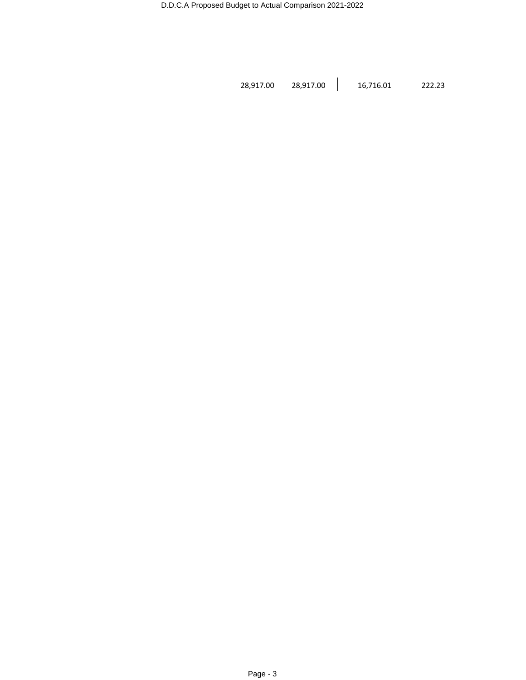28,917.00 28,917.00 16,716.01 222.23